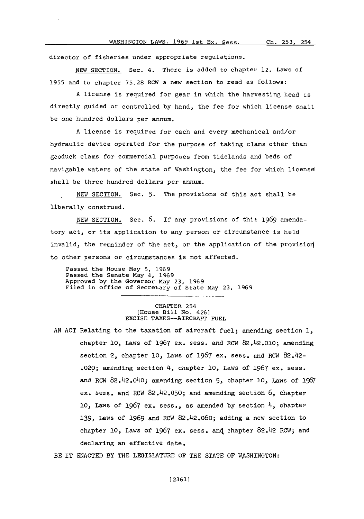director of fisheries under appropriate regulations.

**NEW** SECTION. Sec. 4. There is added to chapter 12, Laws of **1955** and to chapter **75.28** RCW a new section to read as follows:

**A** license is required for gear in which the harvesting- head is directly guided or controlled **by** hand, the fee for which license shall be one hundred dollars per annum.

**A** license is required for each and every mechanical and/or hydraulic device operated for the purpose of taking clams other than geoduck clams for commercial purposes from tidelands and beds of navigable waters of the state of Washington, the fee for which licensd shall be three hundred dollars per annum.

NEW SECTION. Sec. **5.** The provisions of this act shall be liberally construed.

**NEW** SECTION. Sec. **6.** If any provisions of this **1969** amendatory act, or its application to any person or circumstance is held invalid, the remainder of the act, or the application of the provision to other persons or circumstances is not affected.

Passed the House May **5, 1969** Passed the Senate May 4, **1969** Approved **by** the Governor May **23, 1969** Filed in office of Secretary of State May **23, 1969**

## CHAPTER 254 (House Bill No. 426] EXCISE TAXES--AIRCRAFT **FUEL**

**AN ACT** Relating to the taxation of aircraft fuel; amending section **1,** chapter **10,** Laws of **1967** ex. sess. and RCW 82.42.010; amending section 2, chapter **10,** Laws of **1967** ex. sess. and RGW 82.42- .020; amending section 4, chapter **10,** Laws of **1967** ex. sess. and RCW 82.42.040; amending section **5,** chapter **10,** Laws of **<sup>1967</sup>** ex. sess. and ROW 82.42.050; and amending section **6,** chapter **10,** Laws of **1967** ex. sess., as amended **by** section 4, chapter **139,** Laws of **1969** and ROW 82.42.060; adding a new section to chapter 10, Laws of 1967 ex. sess. and chapter 82.42 RCW; and declaring an effective date.

BE IT **ENACTED** BY THE LEGISLATURE OF THE **STATE** OF WASHINGTON: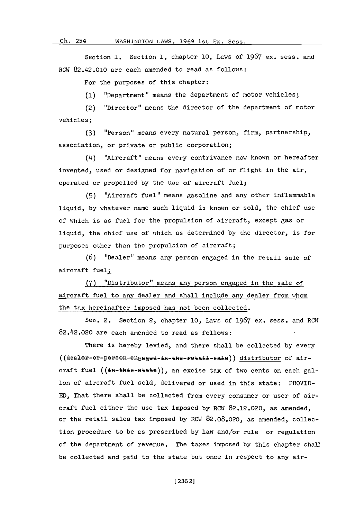**Ch.** 254

## Oh. **54WASHINGTON** LAWS, **1969** 1st Ex. Sess.

Section **1.** Section **1,** chapter **10,** Laws of **1967** ex. sess. and RCW 82.42.010 are each amended to read as follows:

For the purposes of this chapter:

**(1)** "Department" means the department of motor vehicles;

(2) "Director" means the director of the department of motor vehicles;

**(3)** "Person" means every natural person, firm, partnership, association, or private or public corporation;

(4) "Aircraft" means every contrivance now known or hereafter invented, used or designed for navigation of or flight in the air, operated or propelled **by** the use of aircraft fuel;

**(5)** "Aircraft fuel" means gasoline and any othcr inflammable liquid, **by** whatever name such liquid is known or sold, the chief use of which is as fuel for the propulsion of aircraft, except gas or liquid, the chief use of which as determined **by** the dircctor, is for purposcs other than the propulsion of aircraft;

**(6)** "Dealer" means any person engaged in the retail sale of aircraft fuel;

**(7)** "Distributor" means any person engaged in the sale of aircraft fuel to any dealer and shall include any dealer from whom the tax hereinafter imposed has not been collected.

Sec. 2. Section **2,** chapter **10,** Lawis of **1967** ex. sess. and ROW 82.42.020 are each amended to read as follows:

There is hereby levied, and there shall be collected **by** every ((dealer-er-persen-engaged-in-the-retail-sale)) distributor of aircraft fuel  $((\text{in}-\text{th}+s)-\text{+}\text{th}-\text{th}+s))$ , an excise tax of two cents on each gallon of aircraft fuel sold, delivered or used in this state: PROVID-**ED,** That there shall be collected from every consumer or user of aircraft fuel either the use tax imposed **by** ROW **82.12.020,** as amended, or the retail sales tax imposed **by** ROW **82.08.020,** as amended, collection procedure to be as prescribed **by** law and/or rule or regulation of the department of revenue. The taxes imposed **by** this chapter shall be collected and paid to the state but once in respect to any air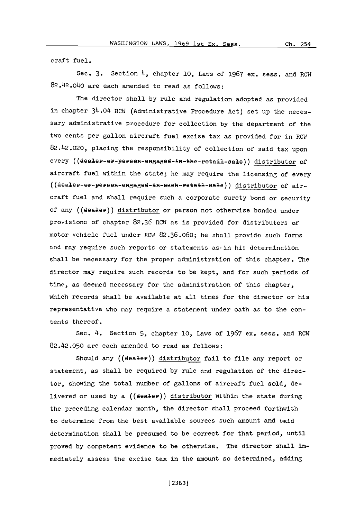craft fuel.

Sec. 3. Section 4, chapter 10, Laws of 1967 ex. sess. and RCW 82.42.040 are each amended to read as follows:

The director shall **by** rule and regulation adopted as provided in chapter 34.04 RCW (Administrative Procedure Act) set up the necessary administrative procedure for collection **by** the department of the two cents per gallon aircraft fuel excise tax as provided for in RCW 82.42.020, placing the responsibility of collection of said tax upon every ((dealer-er-persen-engaged-in-the-retail-sale)) distributor of aircraft fuel within the state; he may require the licensing of every  $((\texttt{deelev-}})$  or  $-\texttt{ee}$  and  $-\texttt{ee}$  and  $-\texttt{ee}$  and  $-\texttt{ee}$  and  $-\texttt{ee}$  and  $-\texttt{ee}$  and  $-\texttt{ee}$ craft fuel and shall require such a corporate surety bond or security of any ((dealer)) distributor or person not otherwise bonded under provisions of chapter **82.36** ROW as is provided for distributors of motor vehicle fuel under ROW7 **82.36.060;** hc shall provide such forms and may require such reports or statements as-in his determination shall be necessary for the proper administration of this chapter. The director may require such records to be kept, and for such periods of time, as deemed necessary for the administration of this chapter, which records shall be available at all tines for the director or his representative who nay require a statement under oath as to the contents thereof.

Sec. 4. Section **5,** chapter **10,** Laws of **1967** ex. sess. and ROW 82.42.050 are each anended to read as follows:

Should any ((dealer)) distributor fail to file any report or statement, as shall be required **by** rule and regulation of the director, showing the total number of gallons of aircraft fuel sold, delivered or used **by** a ((dealer)) distributor within the state during the preceding calendar month, the director shall proceed forthwith to determine from the best available sources such amount and said determination shall be presumed to be correct for that period, until proved **by** competent evidence to be otherise. The director shall immediately assess the excise tax in the amount so determined, adding

**[ 236 3]**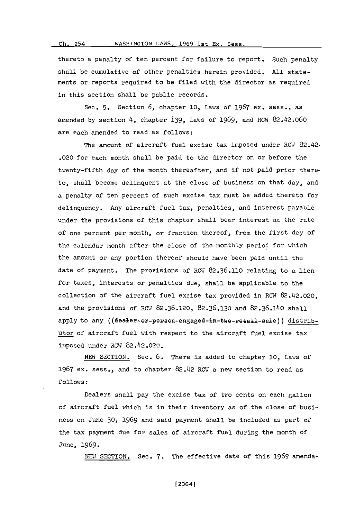## Ch. 254 WASHINGTON LAWS, 1969 1st Ex. Sess.

thereto a penalty of ten percent for failure to report. Such penalty shall be cumulative of other penalties herein provided. **All** statements or reports required to be filed with the director as required in this section shall be public records.

Sec. **5.** Section **6,** chapter **10,** Laws of **1967** ex. sess., as amended **by** section 4, chapter 139, Laws of **1969,** and.RMI 82.42.060 are each amended to read as follows:

The amount of aircraft fuel excise tax imposed under  $RCW$   $82.42$ -.020 for each month shall be paid to the director on or before the twenty-fifth day of the month thereafter, and if not paid prior thereto, shall become delinquent at the close of business on that day, and a penalty of ten percent of such excise tax must be added thereto for delinquency. Any aircraft fuel tax, penalties, and interest payable under the provisions of this chapter shall bear interest at the rate of one percent per month, or fraction thereof, from the first day of the calendar month after the close of the monthly period for which the amount or any portion thereof should have been paid until the date of payment. The provisions of ROW1 **82.36.110** relating to a lien for taxes, interests or penalties due, shall be applicable to the collection of the aircraft fuel excise tax provided in ROW 82.42.020, and the provisions of ROW **82.36.120, 82.36.130** and **82.36.140** shall apply to any ((dealer-er-persen-engaged-in-the-retail-sale)) distributor of aircraft fuel with respect to the aircraft fuel excise tax imposed under ROW 82.42.020.

**NEN'** SECTION. Sec. **6.** There is added to chapter **10,** Laws of **1967** ex, sess., and to chapter 82.42 ROW a new section to read as **follows:**

Dealers shall pay the excise tax of two cents on each gallon of aircraft fuel which is in their inventory as of the close of business on June **30, 1969** and said payment shall be included as part of the tax payment due for sales of aircraft fuel during the month of June, **1969.**

**NMI** SECTION. Sec. **7.** The effective date of this **1969** amenda-